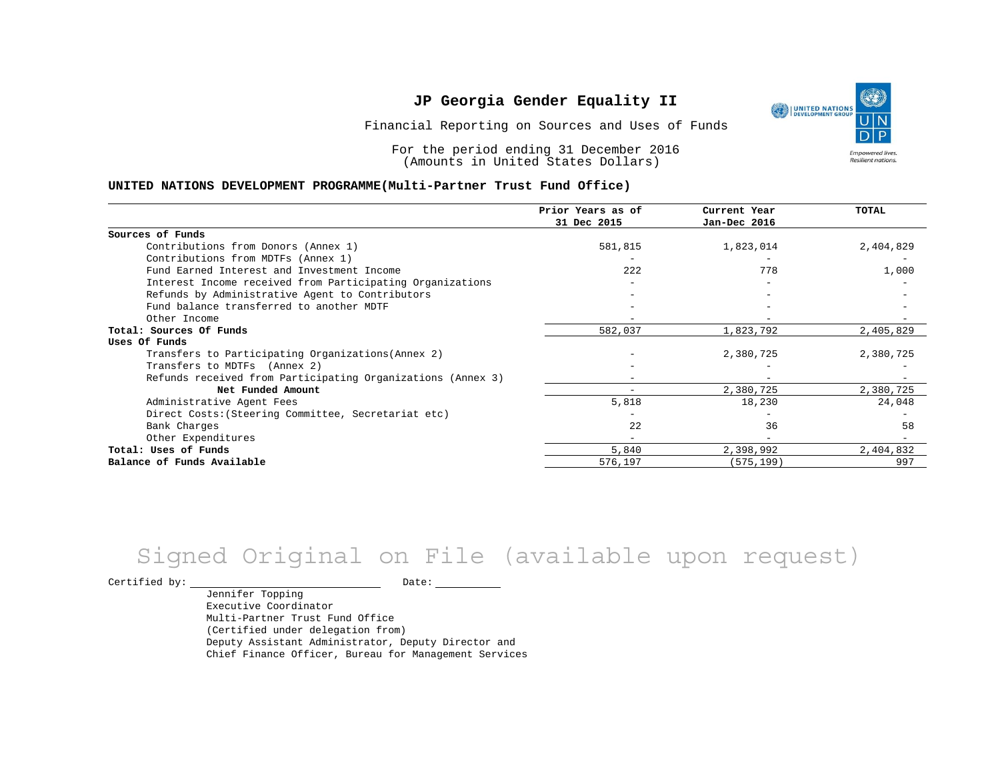Financial Reporting on Sources and Uses of Funds

For the period ending 31 December 2016 (Amounts in United States Dollars)

#### **UNITED NATIONS DEVELOPMENT PROGRAMME(Multi-Partner Trust Fund Office)**

|                                                             | Prior Years as of<br>31 Dec 2015 | Current Year<br>Jan-Dec 2016 | TOTAL     |
|-------------------------------------------------------------|----------------------------------|------------------------------|-----------|
|                                                             |                                  |                              |           |
| Sources of Funds                                            |                                  |                              |           |
| Contributions from Donors (Annex 1)                         | 581,815                          | 1,823,014                    | 2,404,829 |
| Contributions from MDTFs (Annex 1)                          |                                  |                              |           |
| Fund Earned Interest and Investment Income                  | 222                              | 778                          | 1,000     |
| Interest Income received from Participating Organizations   |                                  |                              |           |
| Refunds by Administrative Agent to Contributors             |                                  |                              |           |
| Fund balance transferred to another MDTF                    |                                  |                              |           |
| Other Income                                                |                                  |                              |           |
| Total: Sources Of Funds                                     | 582,037                          | 1,823,792                    | 2,405,829 |
| Uses Of Funds                                               |                                  |                              |           |
| Transfers to Participating Organizations (Annex 2)          |                                  | 2,380,725                    | 2,380,725 |
| Transfers to MDTFs (Annex 2)                                |                                  |                              |           |
| Refunds received from Participating Organizations (Annex 3) |                                  |                              |           |
| Net Funded Amount                                           |                                  | 2,380,725                    | 2,380,725 |
| Administrative Agent Fees                                   | 5,818                            | 18,230                       | 24,048    |
| Direct Costs: (Steering Committee, Secretariat etc)         |                                  |                              |           |
| Bank Charges                                                | 22                               | 36                           | 58        |
| Other Expenditures                                          |                                  |                              |           |
| Total: Uses of Funds                                        | 5,840                            | 2,398,992                    | 2,404,832 |
| Balance of Funds Available                                  | 576,197                          | (575, 199)                   | 997       |

# Signed Original on File (available upon request)

Certified by: Date:

Jennifer Topping Executive Coordinator Multi-Partner Trust Fund Office (Certified under delegation from) Deputy Assistant Administrator, Deputy Director and Chief Finance Officer, Bureau for Management Services

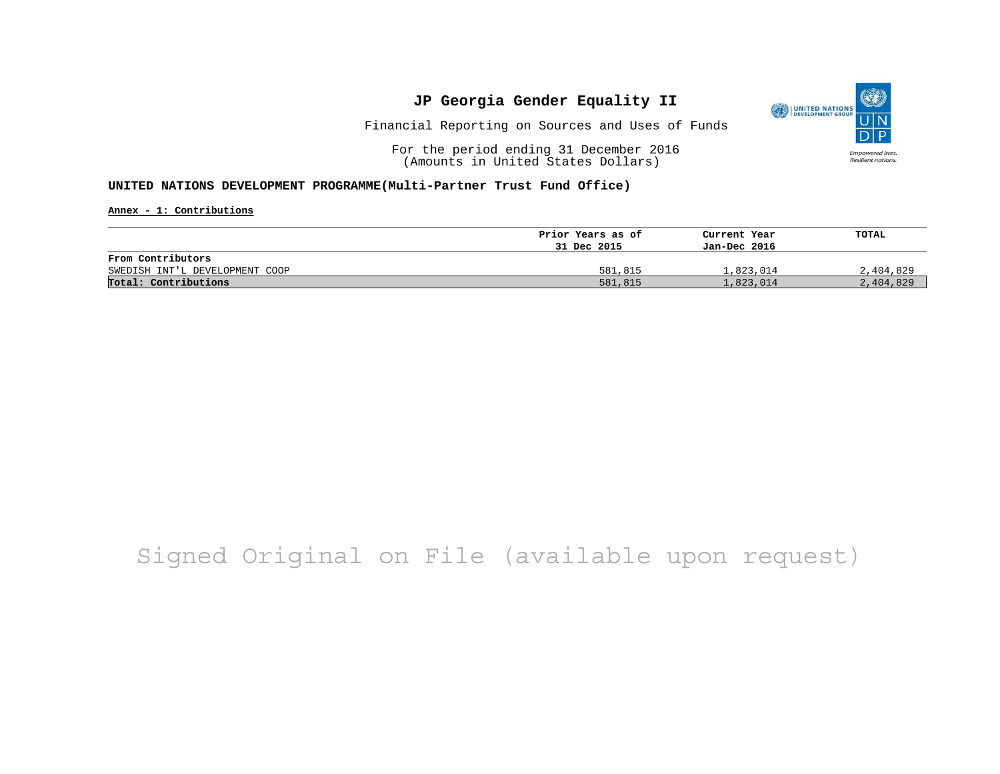

Financial Reporting on Sources and Uses of Funds

For the period ending 31 December 2016 (Amounts in United States Dollars)

#### **UNITED NATIONS DEVELOPMENT PROGRAMME(Multi-Partner Trust Fund Office)**

**Annex - 1: Contributions**

|                                | Prior Years as of | Current Year | TOTAL     |
|--------------------------------|-------------------|--------------|-----------|
|                                | 31 Dec 2015       | Jan-Dec 2016 |           |
| From Contributors              |                   |              |           |
| SWEDISH INT'L DEVELOPMENT COOP | 581,815           | 1,823,014    | 2,404,829 |
| Total: Contributions           | 581,815           | 1,823,014    | 2,404,829 |

## Signed Original on File (available upon request)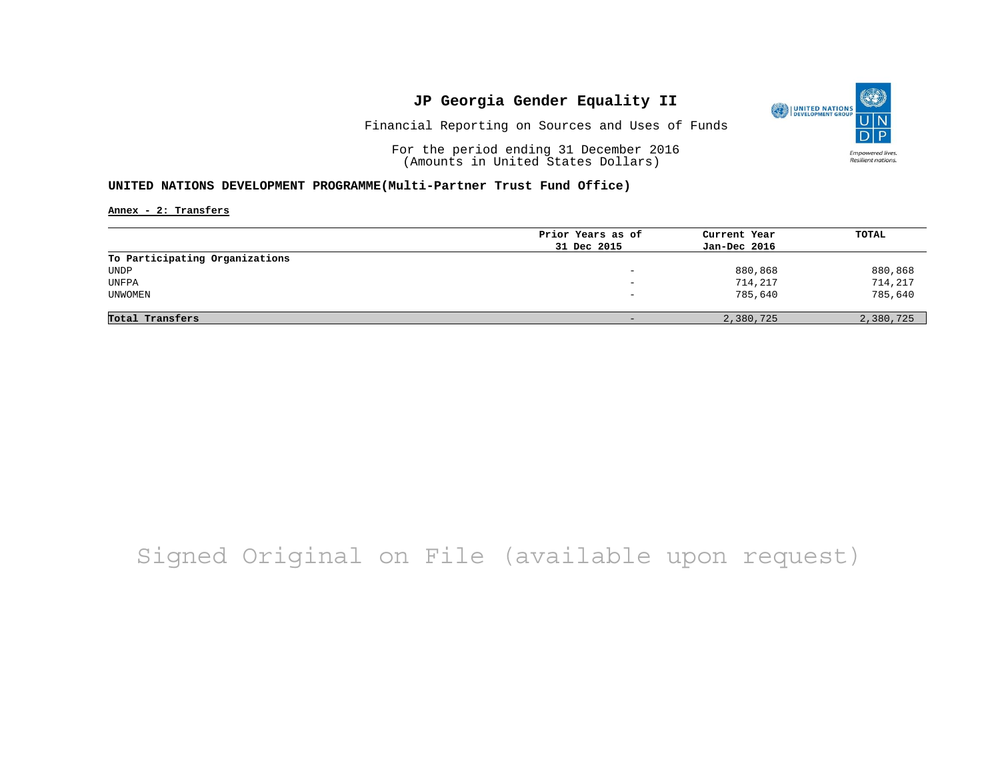

Financial Reporting on Sources and Uses of Funds

For the period ending 31 December 2016 (Amounts in United States Dollars)

#### **UNITED NATIONS DEVELOPMENT PROGRAMME(Multi-Partner Trust Fund Office)**

**Annex - 2: Transfers**

|                                | Prior Years as of | Current Year | TOTAL     |
|--------------------------------|-------------------|--------------|-----------|
|                                | 31 Dec 2015       | Jan-Dec 2016 |           |
| To Participating Organizations |                   |              |           |
| UNDP                           | -                 | 880,868      | 880,868   |
| UNFPA                          | -                 | 714,217      | 714,217   |
| UNWOMEN                        | -                 | 785,640      | 785,640   |
|                                |                   |              |           |
| Total Transfers                |                   | 2,380,725    | 2,380,725 |

## Signed Original on File (available upon request)